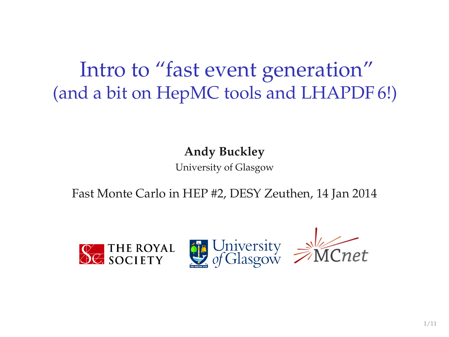# Intro to "fast event generation" (and a bit on HepMC tools and LHAPDF 6!)

**Andy Buckley**

University of Glasgow

Fast Monte Carlo in HEP #2, DESY Zeuthen, 14 Jan 2014

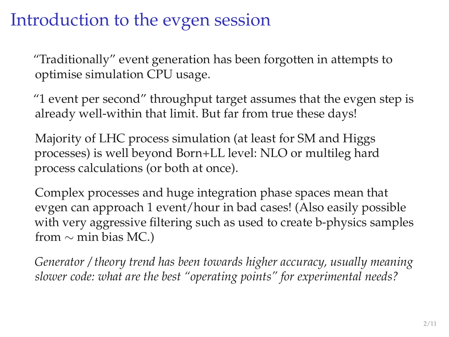## Introduction to the evgen session

"Traditionally" event generation has been forgotten in attempts to optimise simulation CPU usage.

"1 event per second" throughput target assumes that the evgen step is already well-within that limit. But far from true these days!

Majority of LHC process simulation (at least for SM and Higgs processes) is well beyond Born+LL level: NLO or multileg hard process calculations (or both at once).

Complex processes and huge integration phase spaces mean that evgen can approach 1 event/hour in bad cases! (Also easily possible with very aggressive filtering such as used to create b-physics samples from  $\sim$  min bias MC.)

*Generator / theory trend has been towards higher accuracy, usually meaning slower code: what are the best "operating points" for experimental needs?*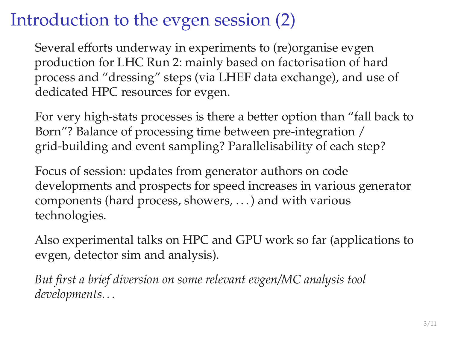## Introduction to the evgen session (2)

Several efforts underway in experiments to (re)organise evgen production for LHC Run 2: mainly based on factorisation of hard process and "dressing" steps (via LHEF data exchange), and use of dedicated HPC resources for evgen.

For very high-stats processes is there a better option than "fall back to Born"? Balance of processing time between pre-integration / grid-building and event sampling? Parallelisability of each step?

Focus of session: updates from generator authors on code developments and prospects for speed increases in various generator components (hard process, showers, . . . ) and with various technologies.

Also experimental talks on HPC and GPU work so far (applications to evgen, detector sim and analysis).

*But first a brief diversion on some relevant evgen/MC analysis tool developments. . .*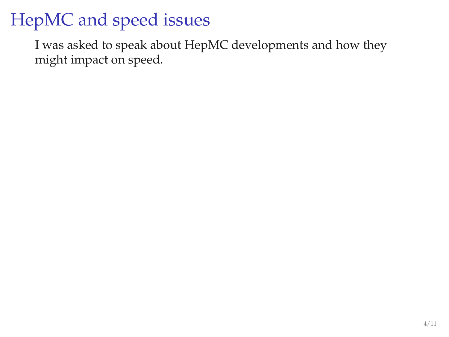# HepMC and speed issues

I was asked to speak about HepMC developments and how they might impact on speed.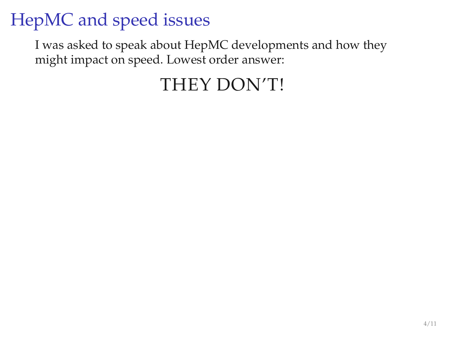# HepMC and speed issues

I was asked to speak about HepMC developments and how they might impact on speed. Lowest order answer:

## THEY DON'T!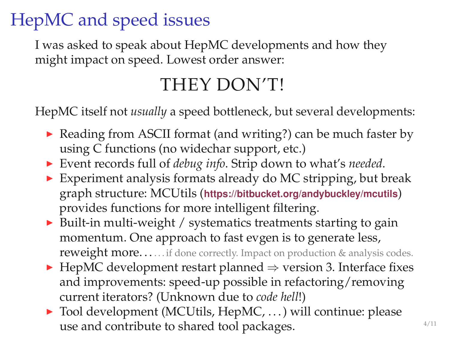# HepMC and speed issues

I was asked to speak about HepMC developments and how they might impact on speed. Lowest order answer:

### THEY DON'T!

HepMC itself not *usually* a speed bottleneck, but several developments:

- ▶ Reading from ASCII format (and writing?) can be much faster by using C functions (no widechar support, etc.)
- <sup>I</sup> Event records full of *debug info*. Strip down to what's *needed*.
- $\triangleright$  Experiment analysis formats already do MC stripping, but break graph structure: MCUtils (**<https://bitbucket.org/andybuckley/mcutils>**) provides functions for more intelligent filtering.
- $\triangleright$  Built-in multi-weight / systematics treatments starting to gain momentum. One approach to fast evgen is to generate less, reweight more......if done correctly. Impact on production & analysis codes.
- ► HepMC development restart planned  $\Rightarrow$  version 3. Interface fixes and improvements: speed-up possible in refactoring/removing current iterators? (Unknown due to *code hell*!)
- $\triangleright$  Tool development (MCUtils, HepMC, ...) will continue: please use and contribute to shared tool packages.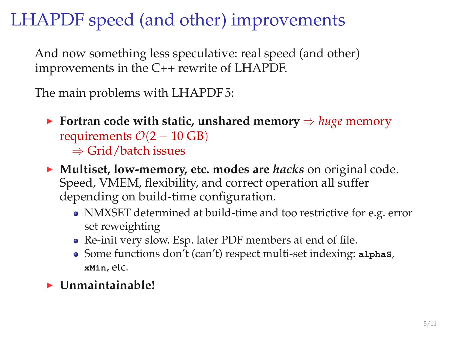## LHAPDF speed (and other) improvements

And now something less speculative: real speed (and other) improvements in the C++ rewrite of LHAPDF.

The main problems with LHAPDF 5:

- <sup>I</sup> **Fortran code with static, unshared memory** ⇒ *huge* memory requirements  $\mathcal{O}(2 - 10 \text{ GB})$ ⇒ Grid/batch issues
- ▶ **Multiset, low-memory, etc. modes are** *hacks* on original code. Speed, VMEM, flexibility, and correct operation all suffer depending on build-time configuration.
	- NMXSET determined at build-time and too restrictive for e.g. error set reweighting
	- Re-init very slow. Esp. later PDF members at end of file.
	- Some functions don't (can't) respect multi-set indexing: **alphaS**, **xMin**, etc.
- <sup>I</sup> **Unmaintainable!**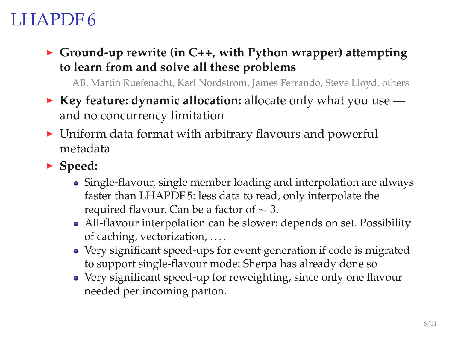## LHAPDF 6

▶ Ground-up rewrite (in C++, with Python wrapper) attempting **to learn from and solve all these problems**

AB, Martin Ruefenacht, Karl Nordstrom, James Ferrando, Steve Lloyd, others

- ► **Key feature: dynamic allocation:** allocate only what you use and no concurrency limitation
- $\triangleright$  Uniform data format with arbitrary flavours and powerful metadata
- ► Speed:
	- Single-flavour, single member loading and interpolation are always faster than LHAPDF 5: less data to read, only interpolate the required flavour. Can be a factor of  $\sim$  3.
	- All-flavour interpolation can be slower: depends on set. Possibility of caching, vectorization, . . . .
	- Very significant speed-ups for event generation if code is migrated to support single-flavour mode: Sherpa has already done so
	- Very significant speed-up for reweighting, since only one flavour needed per incoming parton.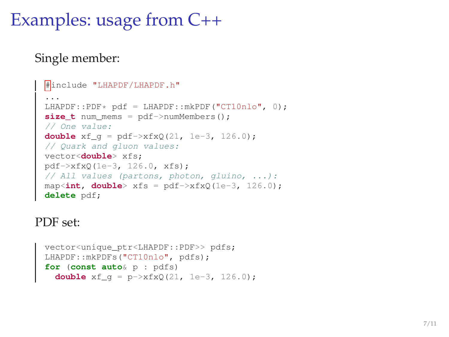## Examples: usage from C++

#### Single member:

```
#include "LHAPDF/LHAPDF.h"
 ...
LHAPDF::PDF* pdf = LHAPDF::mkPDF("CT10nlo", 0);
size_t num_mems = pdf->numMembers();
// One value:
double xf q = pdf->xfxQ(21, 1e-3, 126.0);// Quark and gluon values:
vector<double> xfs;
pdf->xfxQ(1e-3, 126.0, xfs);
// All values (partons, photon, gluino, ...):
map<int, double> xfs = pdf->xfxQ(1e-3, 126.0);
delete pdf;
```
#### PDF set:

```
vector<unique_ptr<LHAPDF::PDF>> pdfs;
LHAPDF::mkPDFs("CT10nlo", pdfs);
for (const auto& p : pdfs)
  double xf g = p - \times f \times Q(21, 1e-3, 126.0);
```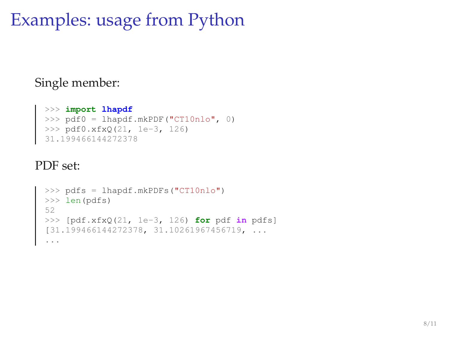## Examples: usage from Python

### Single member:

```
>>> import lhapdf
>>> pdf0 = lhapdf.mkPDF("CT10nlo", 0)
>>> pdf0.xfxQ(21, 1e-3, 126)
31.199466144272378
```
#### PDF set:

```
>>> pdfs = lhapdf.mkPDFs("CT10nlo")<br>>>> len(pdfs)<br>52<br>(31.199466144272378, 31.10261967456719, ...<br>(31.199466144272378, 31.10261967456719, ...<br>...
```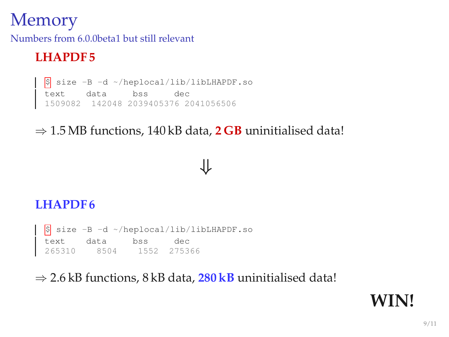### **Memory**

Numbers from 6.0.0beta1 but still relevant

### **LHAPDF 5**

\$ size -B -d ~/heplocal/lib/libLHAPDF.so text data bss dec 1509082 142048 2039405376 2041056506

### ⇒ 1.5 MB functions, 140 kB data, **2 GB** uninitialised data!

### ⇓

#### **LHAPDF 6**

\$ size -B -d ~/heplocal/lib/libLHAPDF.so text data bss dec 265310 8504 1552 275366

⇒ 2.6 kB functions, 8 kB data, **280 kB** uninitialised data!

### **WIN!**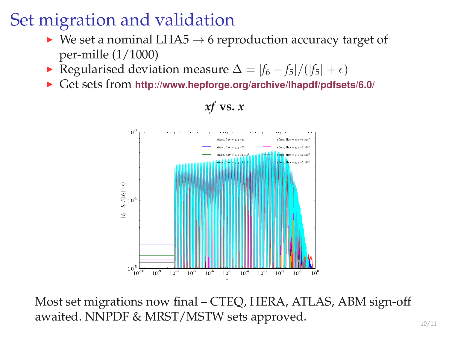## Set migration and validation

- $\triangleright$  We set a nominal LHA5  $\rightarrow$  6 reproduction accuracy target of per-mille (1/1000)
- **►** Regularised deviation measure  $\Delta = |f_6 f_5|/(|f_5| + \epsilon)$
- <sup>I</sup> Get sets from **<http://www.hepforge.org/archive/lhapdf/pdfsets/6.0/>**



### *xf* **vs.** *x*

Most set migrations now final – CTEQ, HERA, ATLAS, ABM sign-off awaited. NNPDF & MRST/MSTW sets approved.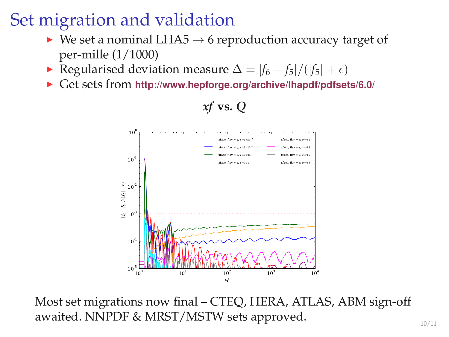## Set migration and validation

- $\triangleright$  We set a nominal LHA5  $\rightarrow$  6 reproduction accuracy target of per-mille (1/1000)
- **►** Regularised deviation measure  $\Delta = |f_6 f_5|/(|f_5| + \epsilon)$
- <sup>I</sup> Get sets from **<http://www.hepforge.org/archive/lhapdf/pdfsets/6.0/>**



### *xf* **vs.** *Q*

Most set migrations now final – CTEQ, HERA, ATLAS, ABM sign-off awaited. NNPDF & MRST/MSTW sets approved.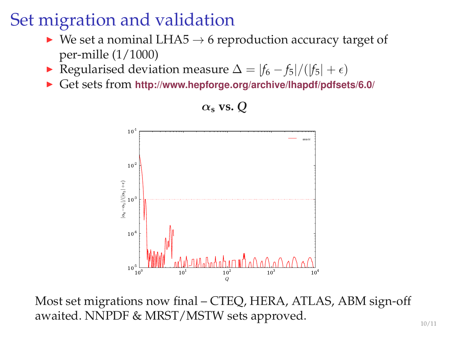## Set migration and validation

- $\triangleright$  We set a nominal LHA5  $\rightarrow$  6 reproduction accuracy target of per-mille (1/1000)
- **►** Regularised deviation measure  $\Delta = |f_6 f_5|/(|f_5| + \epsilon)$
- <sup>I</sup> Get sets from **<http://www.hepforge.org/archive/lhapdf/pdfsets/6.0/>**



### Most set migrations now final – CTEQ, HERA, ATLAS, ABM sign-off awaited. NNPDF & MRST/MSTW sets approved.